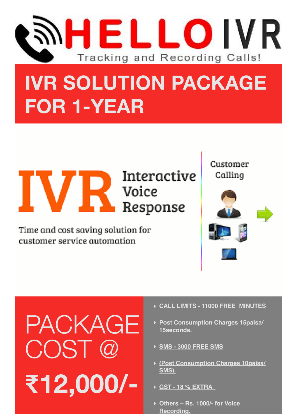

## **IVR SOLUTION PACKAGE FOR 1-YEAR**

Interactive

# **IVR** MODE TO MODE TO DESPRIES

Time and cost saving solution for customer service automation

Customer Calling





- ‣ **CALL LIMITS 11000 FREE MINUTES**
- ‣ **Post Consumption Charges 15paisa/ 15seconds.**
- ‣ **SMS 3000 FREE SMS**
- ‣ **(Post Consumption Charges 10paisa/ SMS).**
- ‣ **GST 18 % EXTRA**
- ‣ **Others – Rs. 1000/- for Voice Recording.**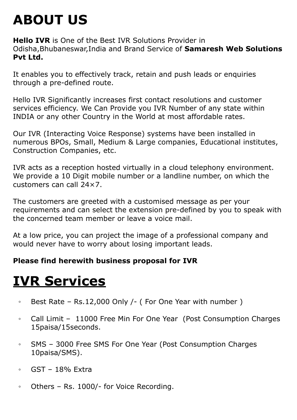## **ABOUT US**

**Hello IVR** is One of the Best IVR Solutions Provider in Odisha,Bhubaneswar,India and Brand Service of **Samaresh Web Solutions Pvt Ltd.**

It enables you to effectively track, retain and push leads or enquiries through a pre-defined route.

Hello IVR Significantly increases first contact resolutions and customer services efficiency. We Can Provide you IVR Number of any state within INDIA or any other Country in the World at most affordable rates.

Our IVR (Interacting Voice Response) systems have been installed in numerous BPOs, Small, Medium & Large companies, Educational institutes, Construction Companies, etc.

IVR acts as a reception hosted virtually in a cloud telephony environment. We provide a 10 Digit mobile number or a landline number, on which the customers can call 24×7.

The customers are greeted with a customised message as per your requirements and can select the extension pre-defined by you to speak with the concerned team member or leave a voice mail.

At a low price, you can project the image of a professional company and would never have to worry about losing important leads.

#### **Please find herewith business proposal for IVR**

### **IVR Services**

- Best Rate Rs.12,000 Only /- ( For One Year with number )
- Call Limit 11000 Free Min For One Year (Post Consumption Charges 15paisa/15seconds.
- SMS 3000 Free SMS For One Year (Post Consumption Charges 10paisa/SMS).
- GST 18% Extra
- Others Rs. 1000/- for Voice Recording.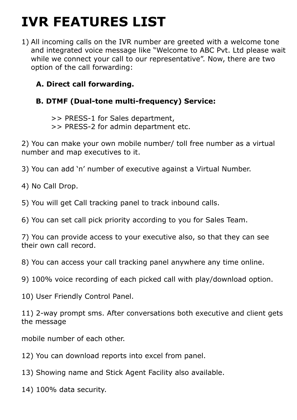## **IVR FEATURES LIST**

1) All incoming calls on the IVR number are greeted with a welcome tone and integrated voice message like "Welcome to ABC Pvt. Ltd please wait while we connect your call to our representative". Now, there are two option of the call forwarding:

#### **A. Direct call forwarding.**

#### **B. DTMF (Dual-tone multi-frequency) Service:**

 >> PRESS-1 for Sales department, >> PRESS-2 for admin department etc.

2) You can make your own mobile number/ toll free number as a virtual number and map executives to it.

3) You can add 'n' number of executive against a Virtual Number.

4) No Call Drop.

5) You will get Call tracking panel to track inbound calls.

6) You can set call pick priority according to you for Sales Team.

7) You can provide access to your executive also, so that they can see their own call record.

8) You can access your call tracking panel anywhere any time online.

9) 100% voice recording of each picked call with play/download option.

10) User Friendly Control Panel.

11) 2-way prompt sms. After conversations both executive and client gets the message

mobile number of each other.

12) You can download reports into excel from panel.

13) Showing name and Stick Agent Facility also available.

14) 100% data security.